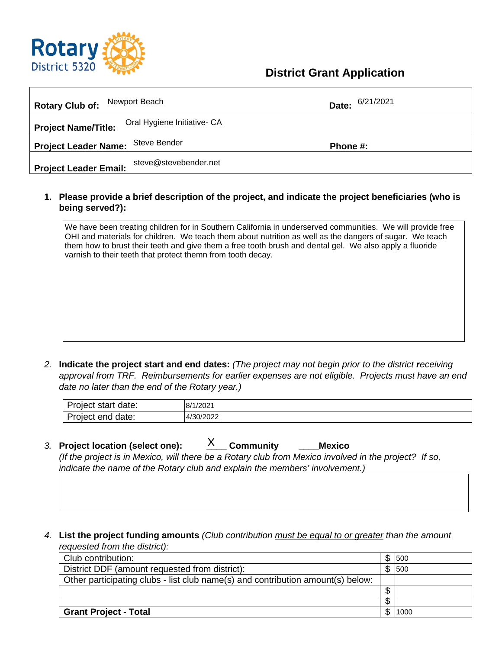

## **District Grant Application**

| Newport Beach<br><b>Rotary Club of:</b>                                                                              | Date:                                                                                                                                                                                                                                                                                                                                                                                                                                                                                                                                          | 6/21/2021                |      |  |
|----------------------------------------------------------------------------------------------------------------------|------------------------------------------------------------------------------------------------------------------------------------------------------------------------------------------------------------------------------------------------------------------------------------------------------------------------------------------------------------------------------------------------------------------------------------------------------------------------------------------------------------------------------------------------|--------------------------|------|--|
| Oral Hygiene Initiative- CA<br><b>Project Name/Title:</b>                                                            |                                                                                                                                                                                                                                                                                                                                                                                                                                                                                                                                                |                          |      |  |
| <b>Steve Bender</b><br><b>Project Leader Name:</b>                                                                   | Phone #:                                                                                                                                                                                                                                                                                                                                                                                                                                                                                                                                       |                          |      |  |
| steve@stevebender.net<br><b>Project Leader Email:</b>                                                                |                                                                                                                                                                                                                                                                                                                                                                                                                                                                                                                                                |                          |      |  |
| being served?):                                                                                                      | 1. Please provide a brief description of the project, and indicate the project beneficiaries (who is                                                                                                                                                                                                                                                                                                                                                                                                                                           |                          |      |  |
| varnish to their teeth that protect themn from tooth decay.<br>2.<br>date no later than the end of the Rotary year.) | We have been treating children for in Southern California in underserved communities. We will provide free<br>OHI and materials for children. We teach them about nutrition as well as the dangers of sugar. We teach<br>them how to brust their teeth and give them a free tooth brush and dental gel. We also apply a fluoride<br>Indicate the project start and end dates: (The project may not begin prior to the district receiving<br>approval from TRF. Reimbursements for earlier expenses are not eligible. Projects must have an end |                          |      |  |
| Project start date:                                                                                                  | 8/1/2021                                                                                                                                                                                                                                                                                                                                                                                                                                                                                                                                       |                          |      |  |
| Project end date:                                                                                                    | 4/30/2022                                                                                                                                                                                                                                                                                                                                                                                                                                                                                                                                      |                          |      |  |
| 3. Project location (select one):                                                                                    | X<br><b>Community</b><br><b>Mexico</b><br>(If the project is in Mexico, will there be a Rotary club from Mexico involved in the project? If so,<br>indicate the name of the Rotary club and explain the members' involvement.)                                                                                                                                                                                                                                                                                                                 |                          |      |  |
| 4.<br>requested from the district):                                                                                  | List the project funding amounts (Club contribution must be equal to or greater than the amount                                                                                                                                                                                                                                                                                                                                                                                                                                                |                          |      |  |
| Club contribution:                                                                                                   |                                                                                                                                                                                                                                                                                                                                                                                                                                                                                                                                                | \$                       | 500  |  |
| District DDF (amount requested from district):                                                                       |                                                                                                                                                                                                                                                                                                                                                                                                                                                                                                                                                | $\overline{\$}$          | 500  |  |
|                                                                                                                      | Other participating clubs - list club name(s) and contribution amount(s) below:                                                                                                                                                                                                                                                                                                                                                                                                                                                                | \$                       |      |  |
|                                                                                                                      |                                                                                                                                                                                                                                                                                                                                                                                                                                                                                                                                                | $\overline{\mathcal{G}}$ |      |  |
| <b>Grant Project - Total</b>                                                                                         |                                                                                                                                                                                                                                                                                                                                                                                                                                                                                                                                                | \$                       | 1000 |  |

| n<br>date:<br>⊶ ctort<br>Project<br>sial | 1/202<br>.8/1 |
|------------------------------------------|---------------|
| Project<br>date:<br>end                  | 4/30/2022     |

- *3.* **Project location (select one): \_\_\_\_ Community \_\_\_\_Mexico** *(If the project is in Mexico, will there be a Rotary club from Mexico involved in the project? If so, indicate the name of the Rotary club and explain the members' involvement.)*  $X_{\text{}}$  Community
- *4.* **List the project funding amounts** *(Club contribution must be equal to or greater than the amount requested from the district):*

| Club contribution:                                                              |  | 500  |
|---------------------------------------------------------------------------------|--|------|
| District DDF (amount requested from district):                                  |  | 500  |
| Other participating clubs - list club name(s) and contribution amount(s) below: |  |      |
|                                                                                 |  |      |
|                                                                                 |  |      |
| <b>Grant Project - Total</b>                                                    |  | 1000 |